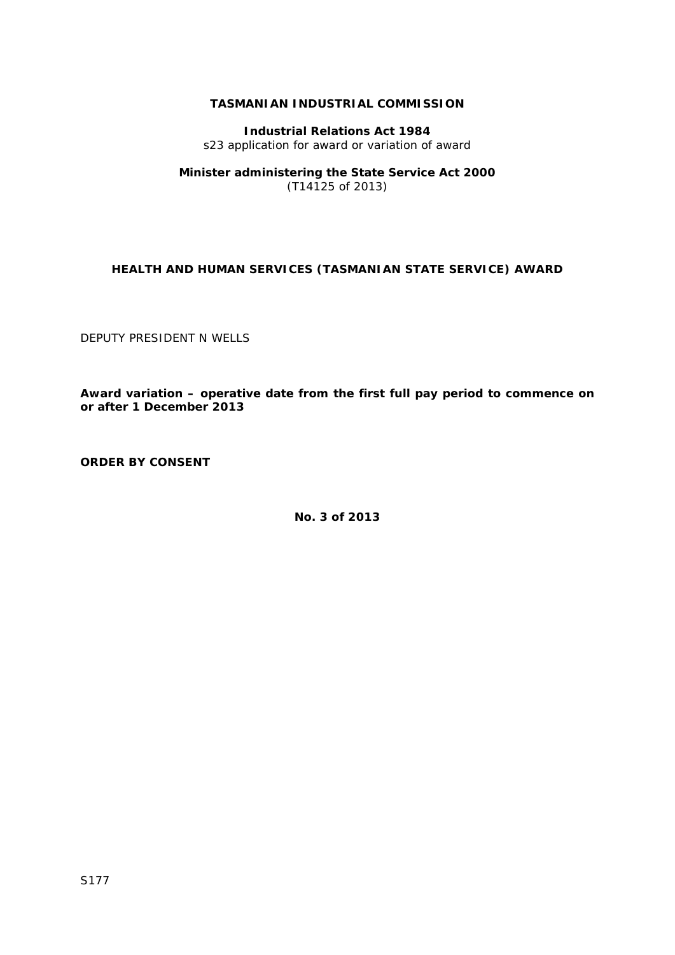## **TASMANIAN INDUSTRIAL COMMISSION**

**Industrial Relations Act 1984** s23 application for award or variation of award

**Minister administering the State Service Act 2000** (T14125 of 2013)

## **HEALTH AND HUMAN SERVICES (TASMANIAN STATE SERVICE) AWARD**

DEPUTY PRESIDENT N WELLS

**Award variation – operative date from the first full pay period to commence on or after 1 December 2013**

**ORDER BY CONSENT**

**No. 3 of 2013**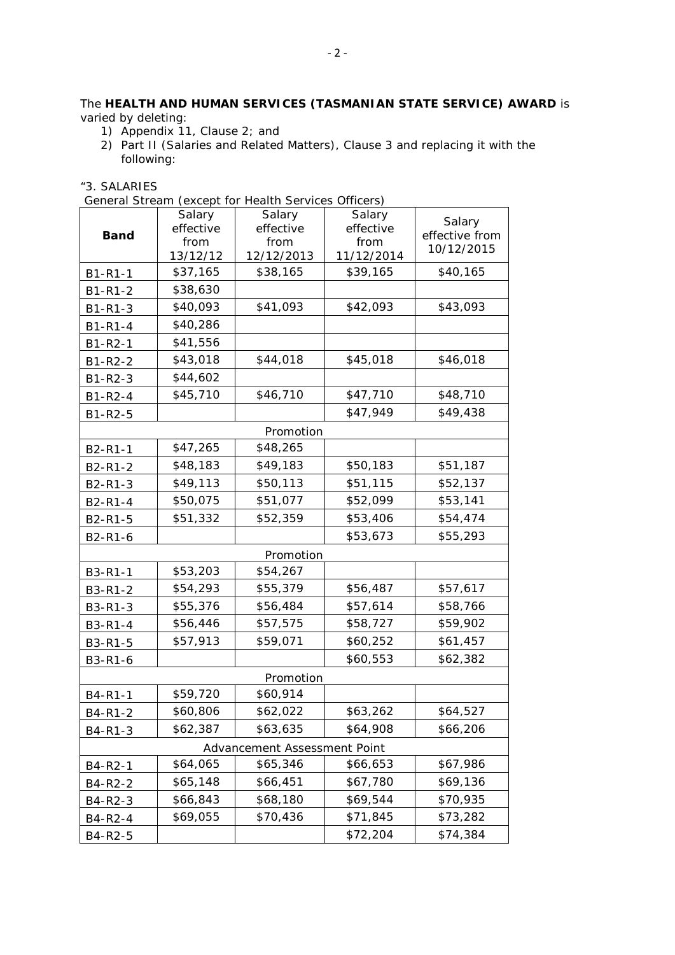## The **HEALTH AND HUMAN SERVICES (TASMANIAN STATE SERVICE) AWARD** is varied by deleting:

- 1) Appendix 11, Clause 2; and
- 2) Part II (Salaries and Related Matters), Clause 3 and replacing it with the following:

"3. SALARIES

| General Stream (except for Health Services Officers) |
|------------------------------------------------------|
|------------------------------------------------------|

| <b>Band</b>   | Salary<br>effective<br>from | Salary<br>effective<br>from  | Salary<br>effective<br>from | Salary<br>effective from |  |  |  |
|---------------|-----------------------------|------------------------------|-----------------------------|--------------------------|--|--|--|
|               | 13/12/12                    | 12/12/2013                   | 11/12/2014                  | 10/12/2015               |  |  |  |
| B1-R1-1       | \$37,165                    | \$38,165                     | \$39,165                    | \$40,165                 |  |  |  |
| $B1 - R1 - 2$ | \$38,630                    |                              |                             |                          |  |  |  |
| B1-R1-3       | \$40,093                    | \$41,093                     | \$42,093                    | \$43,093                 |  |  |  |
| B1-R1-4       | \$40,286                    |                              |                             |                          |  |  |  |
| B1-R2-1       | \$41,556                    |                              |                             |                          |  |  |  |
| B1-R2-2       | \$43,018                    | \$44,018                     | \$45,018                    | \$46,018                 |  |  |  |
| B1-R2-3       | \$44,602                    |                              |                             |                          |  |  |  |
| $B1 - R2 - 4$ | \$45,710                    | \$46,710                     | \$47,710                    | \$48,710                 |  |  |  |
| B1-R2-5       |                             |                              | \$47,949                    | \$49,438                 |  |  |  |
|               |                             | Promotion                    |                             |                          |  |  |  |
| B2-R1-1       | \$47,265                    | \$48,265                     |                             |                          |  |  |  |
| B2-R1-2       | \$48,183                    | \$49,183                     | \$50,183                    | \$51,187                 |  |  |  |
| B2-R1-3       | \$49,113                    | \$50,113                     | \$51,115                    | \$52,137                 |  |  |  |
| B2-R1-4       | \$50,075                    | \$51,077                     | \$52,099                    | \$53,141                 |  |  |  |
| B2-R1-5       | \$51,332                    | \$52,359                     | \$53,406                    | \$54,474                 |  |  |  |
| B2-R1-6       |                             |                              | \$53,673                    | \$55,293                 |  |  |  |
| Promotion     |                             |                              |                             |                          |  |  |  |
| B3-R1-1       | \$53,203                    | \$54,267                     |                             |                          |  |  |  |
| B3-R1-2       | \$54,293                    | \$55,379                     | \$56,487                    | \$57,617                 |  |  |  |
| B3-R1-3       | \$55,376                    | \$56,484                     | \$57,614                    | \$58,766                 |  |  |  |
| B3-R1-4       | \$56,446                    | \$57,575                     | \$58,727                    | \$59,902                 |  |  |  |
| B3-R1-5       | \$57,913                    | \$59,071                     | \$60,252                    | \$61,457                 |  |  |  |
| B3-R1-6       |                             |                              | \$60,553                    | \$62,382                 |  |  |  |
| Promotion     |                             |                              |                             |                          |  |  |  |
| B4-R1-1       | \$59,720                    | \$60,914                     |                             |                          |  |  |  |
| B4-R1-2       | \$60,806                    | \$62,022                     | \$63,262                    | \$64,527                 |  |  |  |
| B4-R1-3       | \$62,387                    | \$63,635                     | \$64,908                    | \$66,206                 |  |  |  |
|               |                             | Advancement Assessment Point |                             |                          |  |  |  |
| B4-R2-1       | \$64,065                    | \$65,346                     | \$66,653                    | \$67,986                 |  |  |  |
| B4-R2-2       | \$65,148                    | \$66,451                     | \$67,780                    | \$69,136                 |  |  |  |
| B4-R2-3       | \$66,843                    | \$68,180                     | \$69,544                    | \$70,935                 |  |  |  |
| B4-R2-4       | \$69,055                    | \$70,436                     | \$71,845                    | \$73,282                 |  |  |  |
| B4-R2-5       |                             |                              | \$72,204                    | \$74,384                 |  |  |  |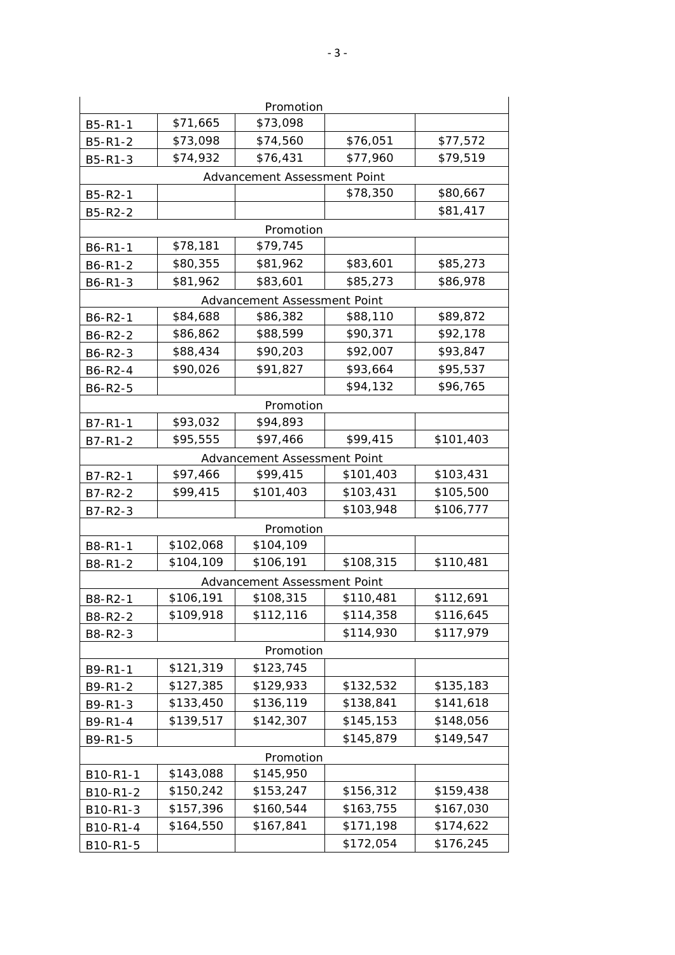| Promotion                    |           |                              |           |           |  |  |  |  |
|------------------------------|-----------|------------------------------|-----------|-----------|--|--|--|--|
| B5-R1-1                      | \$71,665  | \$73,098                     |           |           |  |  |  |  |
| B5-R1-2                      | \$73,098  | \$74,560                     | \$76,051  | \$77,572  |  |  |  |  |
| B5-R1-3                      | \$74,932  | \$76,431                     | \$77,960  | \$79,519  |  |  |  |  |
| Advancement Assessment Point |           |                              |           |           |  |  |  |  |
| B5-R2-1                      |           |                              | \$78,350  | \$80,667  |  |  |  |  |
| B5-R2-2                      |           |                              |           | \$81,417  |  |  |  |  |
| Promotion                    |           |                              |           |           |  |  |  |  |
| B6-R1-1                      | \$78,181  | \$79,745                     |           |           |  |  |  |  |
| B6-R1-2                      | \$80,355  | \$81,962                     | \$83,601  | \$85,273  |  |  |  |  |
| B6-R1-3                      | \$81,962  | \$83,601                     | \$85,273  | \$86,978  |  |  |  |  |
|                              |           | Advancement Assessment Point |           |           |  |  |  |  |
| B6-R2-1                      | \$84,688  | \$86,382                     | \$88,110  | \$89,872  |  |  |  |  |
| B6-R2-2                      | \$86,862  | \$88,599                     | \$90,371  | \$92,178  |  |  |  |  |
| B6-R2-3                      | \$88,434  | \$90,203                     | \$92,007  | \$93,847  |  |  |  |  |
| B6-R2-4                      | \$90,026  | \$91,827                     | \$93,664  | \$95,537  |  |  |  |  |
| B6-R2-5                      |           |                              | \$94,132  | \$96,765  |  |  |  |  |
| Promotion                    |           |                              |           |           |  |  |  |  |
| B7-R1-1                      | \$93,032  | \$94,893                     |           |           |  |  |  |  |
| B7-R1-2                      | \$95,555  | \$97,466                     | \$99,415  | \$101,403 |  |  |  |  |
| Advancement Assessment Point |           |                              |           |           |  |  |  |  |
| B7-R2-1                      | \$97,466  | \$99,415                     | \$101,403 | \$103,431 |  |  |  |  |
| B7-R2-2                      | \$99,415  | \$101,403                    | \$103,431 | \$105,500 |  |  |  |  |
| B7-R2-3                      |           |                              | \$103,948 | \$106,777 |  |  |  |  |
|                              |           | Promotion                    |           |           |  |  |  |  |
| B8-R1-1                      | \$102,068 | \$104,109                    |           |           |  |  |  |  |
| B8-R1-2                      | \$104,109 | \$106,191                    | \$108,315 | \$110,481 |  |  |  |  |
|                              |           | Advancement Assessment Point |           |           |  |  |  |  |
| B8-R2-1                      | \$106,191 | \$108,315                    | \$110,481 | \$112,691 |  |  |  |  |
| B8-R2-2                      | \$109,918 | \$112,116                    | \$114,358 | \$116,645 |  |  |  |  |
| B8-R2-3                      |           |                              | \$114,930 | \$117,979 |  |  |  |  |
| Promotion                    |           |                              |           |           |  |  |  |  |
| B9-R1-1                      | \$121,319 | \$123,745                    |           |           |  |  |  |  |
| B9-R1-2                      | \$127,385 | \$129,933                    | \$132,532 | \$135,183 |  |  |  |  |
| B9-R1-3                      | \$133,450 | \$136,119                    | \$138,841 | \$141,618 |  |  |  |  |
| B9-R1-4                      | \$139,517 | \$142,307                    | \$145,153 | \$148,056 |  |  |  |  |
| B9-R1-5                      |           |                              | \$145,879 | \$149,547 |  |  |  |  |
|                              |           | Promotion                    |           |           |  |  |  |  |
| B10-R1-1                     | \$143,088 | \$145,950                    |           |           |  |  |  |  |
| B10-R1-2                     | \$150,242 | \$153,247                    | \$156,312 | \$159,438 |  |  |  |  |
| B10-R1-3                     | \$157,396 | \$160,544                    | \$163,755 | \$167,030 |  |  |  |  |
| B10-R1-4                     | \$164,550 | \$167,841                    | \$171,198 | \$174,622 |  |  |  |  |
| B10-R1-5                     |           |                              | \$172,054 | \$176,245 |  |  |  |  |